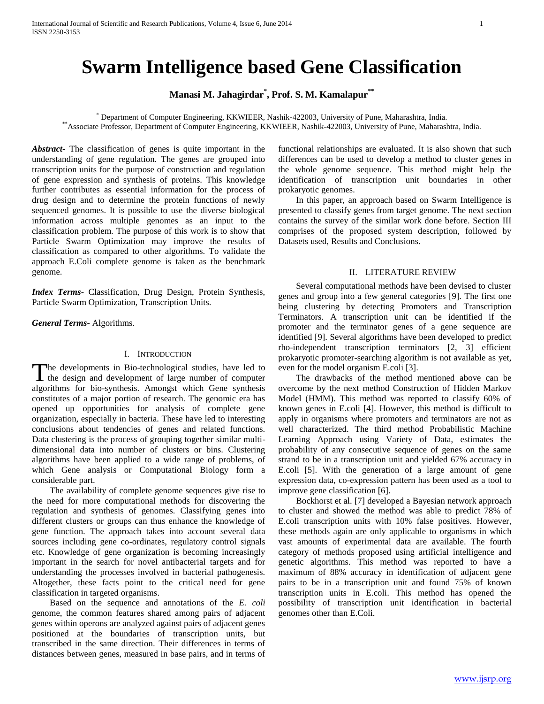# **Swarm Intelligence based Gene Classification**

**Manasi M. Jahagirdar\* , Prof. S. M. Kamalapur\*\***

\* Department of Computer Engineering, KKWIEER, Nashik-422003, University of Pune, Maharashtra, India. \*\*Associate Professor, Department of Computer Engineering, KKWIEER, Nashik-422003, University of Pune, Maharashtra, India.

*Abstract***-** The classification of genes is quite important in the understanding of gene regulation. The genes are grouped into transcription units for the purpose of construction and regulation of gene expression and synthesis of proteins. This knowledge further contributes as essential information for the process of drug design and to determine the protein functions of newly sequenced genomes. It is possible to use the diverse biological information across multiple genomes as an input to the classification problem. The purpose of this work is to show that Particle Swarm Optimization may improve the results of classification as compared to other algorithms. To validate the approach E.Coli complete genome is taken as the benchmark genome.

*Index Terms*- Classification, Drug Design, Protein Synthesis, Particle Swarm Optimization, Transcription Units.

*General Terms*- Algorithms.

## I. INTRODUCTION

he developments in Bio-technological studies, have led to The developments in Bio-technological studies, have led to the design and development of large number of computer algorithms for bio-synthesis. Amongst which Gene synthesis constitutes of a major portion of research. The genomic era has opened up opportunities for analysis of complete gene organization, especially in bacteria. These have led to interesting conclusions about tendencies of genes and related functions. Data clustering is the process of grouping together similar multidimensional data into number of clusters or bins. Clustering algorithms have been applied to a wide range of problems, of which Gene analysis or Computational Biology form a considerable part.

 The availability of complete genome sequences give rise to the need for more computational methods for discovering the regulation and synthesis of genomes. Classifying genes into different clusters or groups can thus enhance the knowledge of gene function. The approach takes into account several data sources including gene co-ordinates, regulatory control signals etc. Knowledge of gene organization is becoming increasingly important in the search for novel antibacterial targets and for understanding the processes involved in bacterial pathogenesis. Altogether, these facts point to the critical need for gene classification in targeted organisms.

 Based on the sequence and annotations of the *E. coli*  genome, the common features shared among pairs of adjacent genes within operons are analyzed against pairs of adjacent genes positioned at the boundaries of transcription units, but transcribed in the same direction. Their differences in terms of distances between genes, measured in base pairs, and in terms of functional relationships are evaluated. It is also shown that such differences can be used to develop a method to cluster genes in the whole genome sequence. This method might help the identification of transcription unit boundaries in other prokaryotic genomes.

 In this paper, an approach based on Swarm Intelligence is presented to classify genes from target genome. The next section contains the survey of the similar work done before. Section III comprises of the proposed system description, followed by Datasets used, Results and Conclusions.

## II. LITERATURE REVIEW

 Several computational methods have been devised to cluster genes and group into a few general categories [9]. The first one being clustering by detecting Promoters and Transcription Terminators. A transcription unit can be identified if the promoter and the terminator genes of a gene sequence are identified [9]. Several algorithms have been developed to predict rho-independent transcription terminators [2, 3] efficient prokaryotic promoter-searching algorithm is not available as yet, even for the model organism E.coli [3].

 The drawbacks of the method mentioned above can be overcome by the next method Construction of Hidden Markov Model (HMM). This method was reported to classify 60% of known genes in E.coli [4]. However, this method is difficult to apply in organisms where promoters and terminators are not as well characterized. The third method Probabilistic Machine Learning Approach using Variety of Data, estimates the probability of any consecutive sequence of genes on the same strand to be in a transcription unit and yielded 67% accuracy in E.coli [5]. With the generation of a large amount of gene expression data, co-expression pattern has been used as a tool to improve gene classification [6].

 Bockhorst et al. [7] developed a Bayesian network approach to cluster and showed the method was able to predict 78% of E.coli transcription units with 10% false positives. However, these methods again are only applicable to organisms in which vast amounts of experimental data are available. The fourth category of methods proposed using artificial intelligence and genetic algorithms. This method was reported to have a maximum of 88% accuracy in identification of adjacent gene pairs to be in a transcription unit and found 75% of known transcription units in E.coli. This method has opened the possibility of transcription unit identification in bacterial genomes other than E.Coli.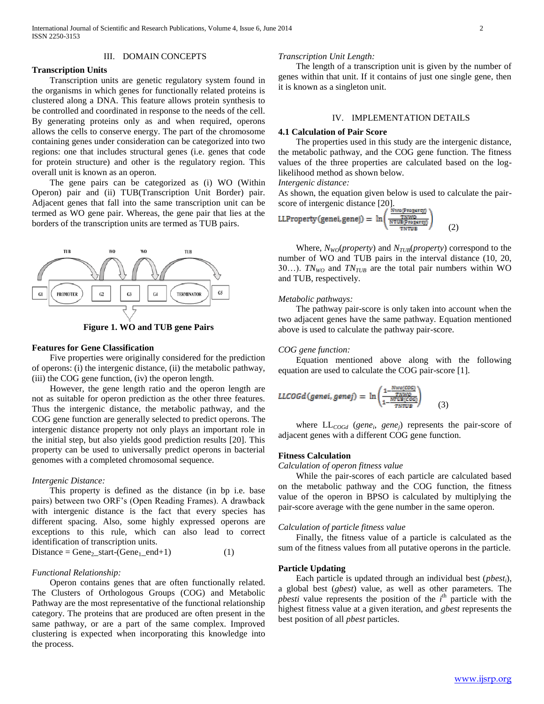## III. DOMAIN CONCEPTS

## **Transcription Units**

 Transcription units are genetic regulatory system found in the organisms in which genes for functionally related proteins is clustered along a DNA. This feature allows protein synthesis to be controlled and coordinated in response to the needs of the cell. By generating proteins only as and when required, operons allows the cells to conserve energy. The part of the chromosome containing genes under consideration can be categorized into two regions: one that includes structural genes (i.e. genes that code for protein structure) and other is the regulatory region. This overall unit is known as an operon.

 The gene pairs can be categorized as (i) WO (Within Operon) pair and (ii) TUB(Transcription Unit Border) pair. Adjacent genes that fall into the same transcription unit can be termed as WO gene pair. Whereas, the gene pair that lies at the borders of the transcription units are termed as TUB pairs.



**Figure 1. WO and TUB gene Pairs**

## **Features for Gene Classification**

 Five properties were originally considered for the prediction of operons: (i) the intergenic distance, (ii) the metabolic pathway, (iii) the COG gene function, (iv) the operon length.

 However, the gene length ratio and the operon length are not as suitable for operon prediction as the other three features. Thus the intergenic distance, the metabolic pathway, and the COG gene function are generally selected to predict operons. The intergenic distance property not only plays an important role in the initial step, but also yields good prediction results [20]. This property can be used to universally predict operons in bacterial genomes with a completed chromosomal sequence.

## *Intergenic Distance:*

 This property is defined as the distance (in bp i.e. base pairs) between two ORF's (Open Reading Frames). A drawback with intergenic distance is the fact that every species has different spacing. Also, some highly expressed operons are exceptions to this rule, which can also lead to correct identification of transcription units.  $Distance = Gene_2_start-(Gene_1_end+1)$  (1)

## *Functional Relationship:*

 Operon contains genes that are often functionally related. The Clusters of Orthologous Groups (COG) and Metabolic Pathway are the most representative of the functional relationship category. The proteins that are produced are often present in the same pathway, or are a part of the same complex. Improved clustering is expected when incorporating this knowledge into the process.

### *Transcription Unit Length:*

 The length of a transcription unit is given by the number of genes within that unit. If it contains of just one single gene, then it is known as a singleton unit.

## IV. IMPLEMENTATION DETAILS

## **4.1 Calculation of Pair Score**

 The properties used in this study are the intergenic distance, the metabolic pathway, and the COG gene function. The fitness values of the three properties are calculated based on the loglikelihood method as shown below.

## *Intergenic distance:*

As shown, the equation given below is used to calculate the pairscore of intergenic distance [20].

$$
LLProperty(genei, genej) = \ln\left(\frac{\frac{1000 \times 1000}{1000}}{\frac{1000}{1000}}\right) \tag{2}
$$

 Where, *NWO*(*property*) and *NTUB*(*property*) correspond to the number of WO and TUB pairs in the interval distance (10, 20, 30…). *TNWO* and *TNTUB* are the total pair numbers within WO and TUB, respectively.

#### *Metabolic pathways:*

 The pathway pair-score is only taken into account when the two adjacent genes have the same pathway. Equation mentioned above is used to calculate the pathway pair-score.

#### *COG gene function:*

 Equation mentioned above along with the following equation are used to calculate the COG pair-score [1].

$$
LLCOGd(genei, genej) = \ln\left(\frac{1 - \frac{Nwo(COG)}{TNWD} \times 1000}{1 - \frac{NTUB(COG)}{TNTDB}}\right)
$$
(3)

where  $LL_{COGd}$  (*gene<sub>i</sub>*, *gene<sub>j</sub>*) represents the pair-score of adjacent genes with a different COG gene function.

# **Fitness Calculation**

*Calculation of operon fitness value*

 While the pair-scores of each particle are calculated based on the metabolic pathway and the COG function, the fitness value of the operon in BPSO is calculated by multiplying the pair-score average with the gene number in the same operon.

## *Calculation of particle fitness value*

 Finally, the fitness value of a particle is calculated as the sum of the fitness values from all putative operons in the particle.

## **Particle Updating**

 Each particle is updated through an individual best (*pbesti*), a global best (*gbest*) value, as well as other parameters. The pbesti value represents the position of the *i*<sup>th</sup> particle with the highest fitness value at a given iteration, and *gbest* represents the best position of all *pbest* particles.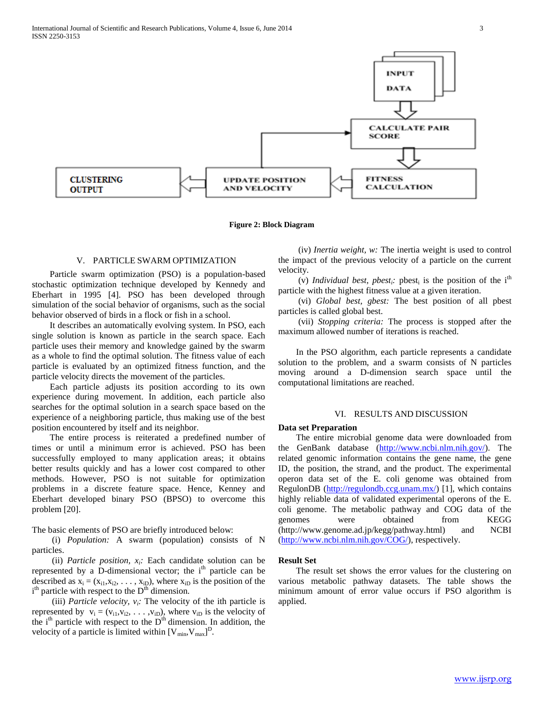

**Figure 2: Block Diagram**

#### V. PARTICLE SWARM OPTIMIZATION

 Particle swarm optimization (PSO) is a population-based stochastic optimization technique developed by Kennedy and Eberhart in 1995 [4]. PSO has been developed through simulation of the social behavior of organisms, such as the social behavior observed of birds in a flock or fish in a school.

 It describes an automatically evolving system. In PSO, each single solution is known as particle in the search space. Each particle uses their memory and knowledge gained by the swarm as a whole to find the optimal solution. The fitness value of each particle is evaluated by an optimized fitness function, and the particle velocity directs the movement of the particles.

 Each particle adjusts its position according to its own experience during movement. In addition, each particle also searches for the optimal solution in a search space based on the experience of a neighboring particle, thus making use of the best position encountered by itself and its neighbor.

 The entire process is reiterated a predefined number of times or until a minimum error is achieved. PSO has been successfully employed to many application areas; it obtains better results quickly and has a lower cost compared to other methods. However, PSO is not suitable for optimization problems in a discrete feature space. Hence, Kenney and Eberhart developed binary PSO (BPSO) to overcome this problem [20].

The basic elements of PSO are briefly introduced below:

 (i) *Population:* A swarm (population) consists of N particles.

 (ii) *Particle position, xi:* Each candidate solution can be represented by a D-dimensional vector; the  $i<sup>th</sup>$  particle can be described as  $x_i = (x_{i1}, x_{i2}, \dots, x_{iD})$ , where  $x_{iD}$  is the position of the i<sup>th</sup> particle with respect to the D<sup>th</sup> dimension.

(iii) *Particle velocity,*  $v_i$ : The velocity of the ith particle is represented by  $v_i = (v_{i1}, v_{i2}, \dots, v_{iD})$ , where  $v_{iD}$  is the velocity of the i<sup>th</sup> particle with respect to the  $\overline{D}^{th}$  dimension. In addition, the velocity of a particle is limited within  $[V_{min}, V_{max}]^D$ .

 (iv) *Inertia weight, w:* The inertia weight is used to control the impact of the previous velocity of a particle on the current velocity.

(v) *Individual best, pbest<sub>i</sub>*: pbest<sub>i</sub> is the position of the i<sup>th</sup> particle with the highest fitness value at a given iteration.

 (vi) *Global best, gbest:* The best position of all pbest particles is called global best.

 (vii) *Stopping criteria:* The process is stopped after the maximum allowed number of iterations is reached.

 In the PSO algorithm, each particle represents a candidate solution to the problem, and a swarm consists of N particles moving around a D-dimension search space until the computational limitations are reached.

## VI. RESULTS AND DISCUSSION

#### **Data set Preparation**

 The entire microbial genome data were downloaded from the GenBank database [\(http://www.ncbi.nlm.nih.gov/\)](http://www.ncbi.nlm.nih.gov/). The related genomic information contains the gene name, the gene ID, the position, the strand, and the product. The experimental operon data set of the E. coli genome was obtained from RegulonDB [\(http://regulondb.ccg.unam.mx/\)](http://regulondb.ccg.unam.mx/) [1], which contains highly reliable data of validated experimental operons of the E. coli genome. The metabolic pathway and COG data of the genomes were obtained from KEGG (http://www.genome.ad.jp/kegg/pathway.html) and NCBI [\(http://www.ncbi.nlm.nih.gov/COG/\)](http://www.ncbi.nlm.nih.gov/COG/), respectively.

#### **Result Set**

 The result set shows the error values for the clustering on various metabolic pathway datasets. The table shows the minimum amount of error value occurs if PSO algorithm is applied.